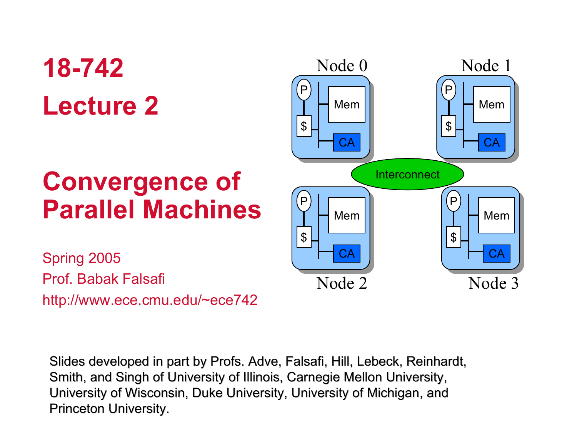# **18-742Lecture 2**

## **Convergence of Parallel Machines**

**Interconnect** CAMemP\$ CAMemP\$ CAMemP $\boldsymbol{\mathsf{\$}}$ CAMemP $\mathfrak{L}$ Node 0 Node 1 Node 2Node 3

Spring 2005 Prof. Babak Falsafihttp://www.ece.cmu.edu/~ece742

Slides developed in part by Profs. Adve, Falsafi, Hill, Lebeck, Reinhardt, Smith, and Singh of University of Illinois, Carnegie Mellon University, University of Wisconsin, Duke University, University of Michigan, and Princeton University.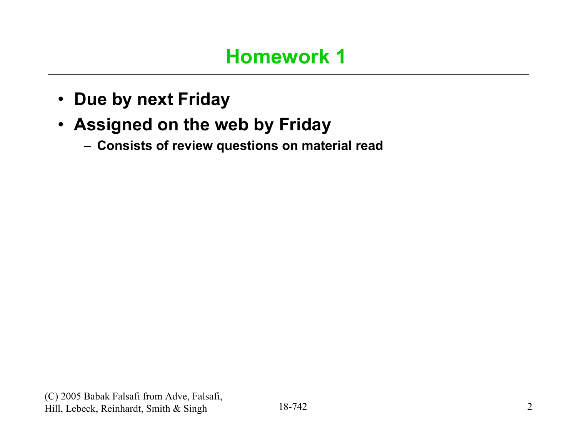- **Due by next Friday**
- **Assigned on the web by Friday**
	- **Consists of review questions on material read**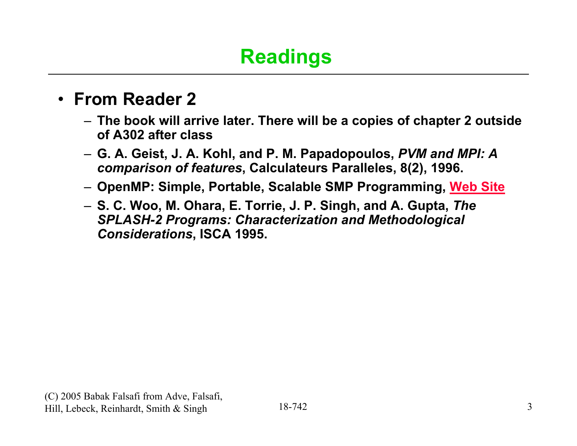## **Readings**

### • **From Reader 2**

- **The book will arrive later. There will be a copies of chapter 2 outside of A302 after class**
- **G. A. Geist, J. A. Kohl, and P. M. Papadopoulos,** *PVM and MPI: A comparison of features***, Calculateurs Paralleles, 8(2), 1996.**
- **OpenMP: Simple, Portable, Scalable SMP Programming, Web Site**
- **S. C. Woo, M. Ohara, E. Torrie, J. P. Singh, and A. Gupta,** *The SPLASH-2 Programs: Characterization and Methodological Considerations***, ISCA 1995.**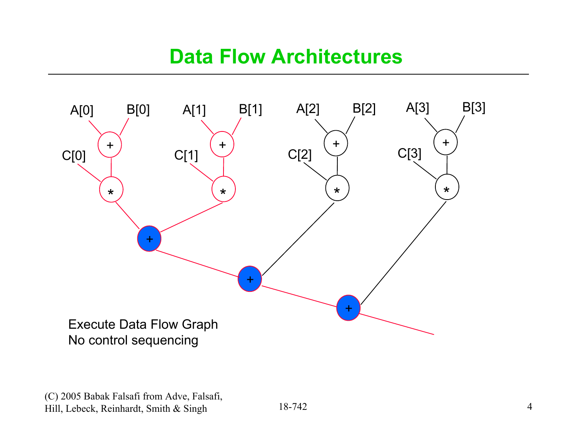### **Data Flow Architectures**

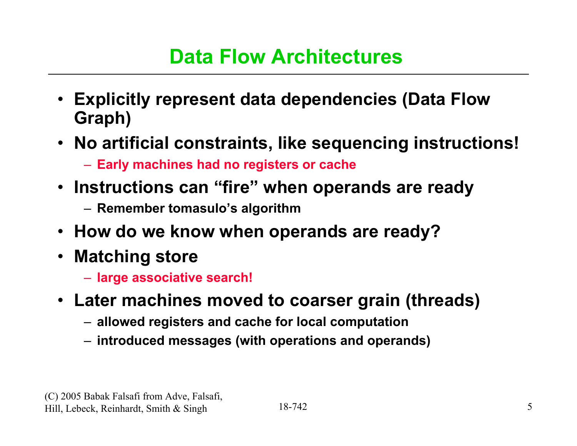### **Data Flow Architectures**

- **Explicitly represent data dependencies (Data Flow Graph)**
- **No artificial constraints, like sequencing instructions!**
	- **Early machines had no registers or cache**
- **Instructions can "fire" when operands are ready**
	- **Remember tomasulo's algorithm**
- **How do we know when operands are ready?**
- **Matching store**
	- **large associative search!**
- **Later machines moved to coarser grain (threads)**
	- **allowed registers and cache for local computation**
	- **introduced messages (with operations and operands)**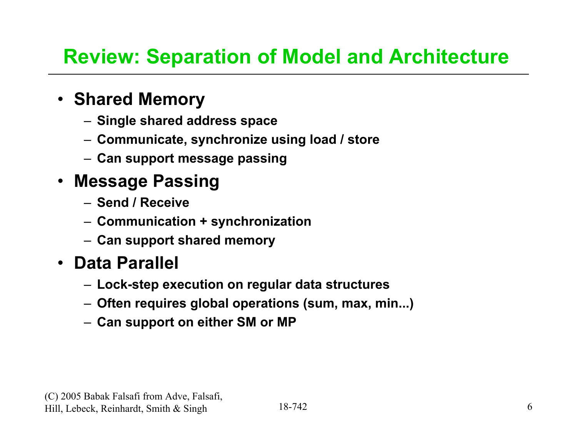## **Review: Separation of Model and Architecture**

### • **Shared Memory**

- **Single shared address space**
- **Communicate, synchronize using load / store**
- **Can support message passing**

### • **Message Passing**

- **Send / Receive**
- **Communication + synchronization**
- **Can support shared memory**

### • **Data Parallel**

- **Lock-step execution on regular data structures**
- **Often requires global operations (sum, max, min...)**
- **Can support on either SM or MP**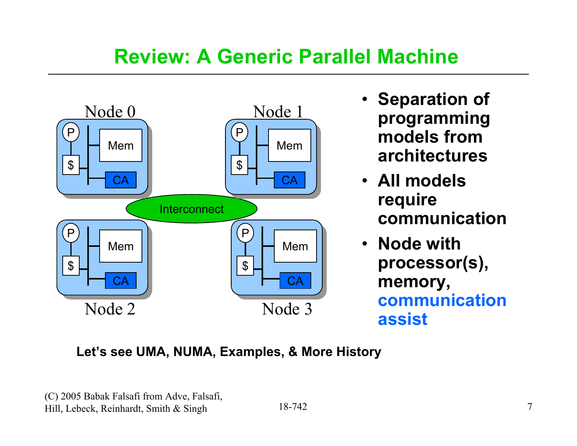## **Review: A Generic Parallel Machine**



- **Separation of programming models from architectures**
- **All models require communication**
- **Node with processor(s), memory, communication assist**

### **Let's see UMA, NUMA, Examples, & More History**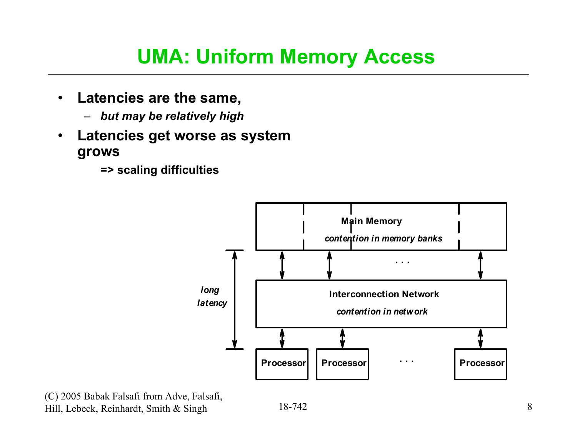## **UMA: Uniform Memory Access**

- • **Latencies are the same,**
	- –*but may be relatively high*
- $\bullet$  **Latencies get worse as system grows**

**=> scaling difficulties**

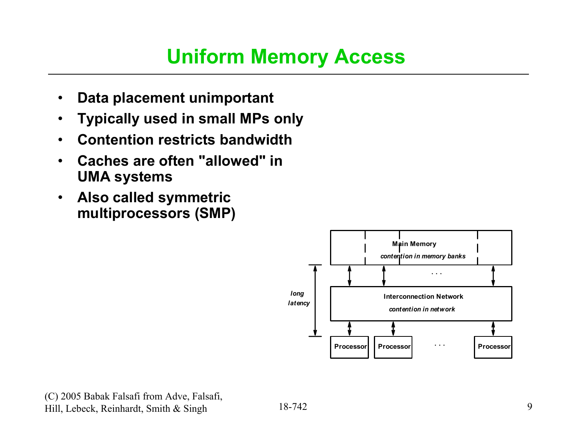## **Uniform Memory Access**

- $\bullet$ **Data placement unimportant**
- •**Typically used in small MPs only**
- •**Contention restricts bandwidth**
- • **Caches are often "allowed" in UMA systems**
- $\bullet$  **Also called symmetric multiprocessors (SMP)**

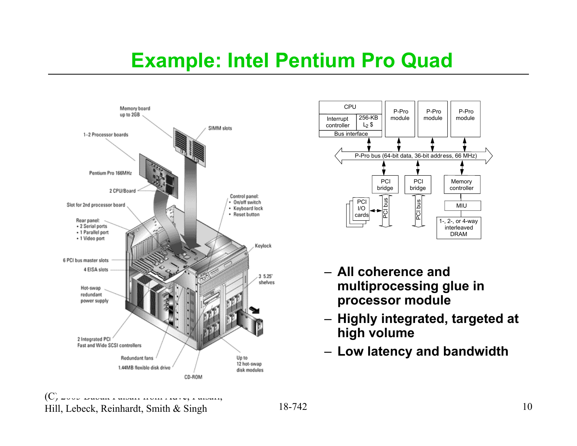## **Example: Intel Pentium Pro Quad**





- **All coherence and multiprocessing glue in processor module**
- **Highly integrated, targeted at high volume**
- **Low latency and bandwidth**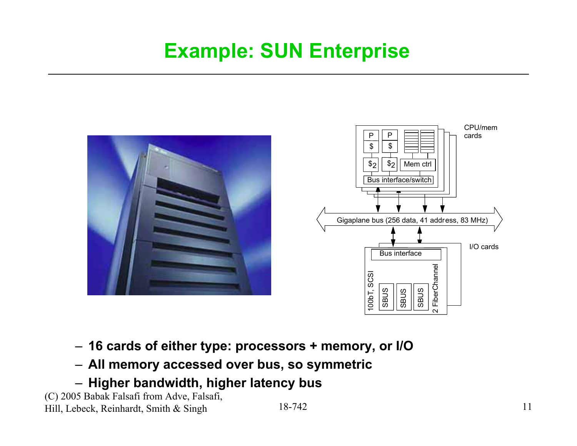## **Example: SUN Enterprise**



- **16 cards of either type: processors + memory, or I/O**
- **All memory accessed over bus, so symmetric**
- **Higher bandwidth, higher latency bus**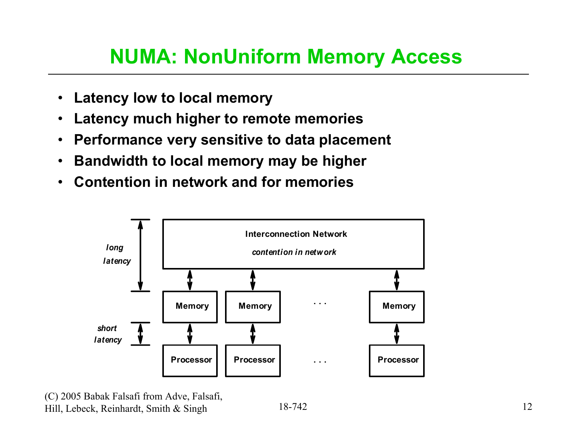## **NUMA: NonUniform Memory Access**

- $\bullet$ **Latency low to local memory**
- $\bullet$ **Latency much higher to remote memories**
- $\bullet$ **Performance very sensitive to data placement**
- $\bullet$ **Bandwidth to local memory may be higher**
- $\bullet$ **Contention in network and for memories**

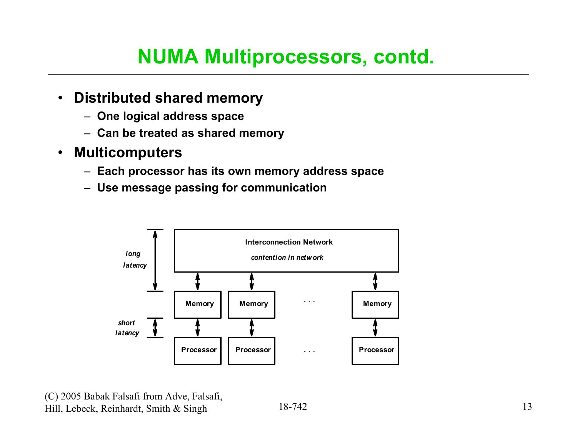## **NUMA Multiprocessors, contd.**

- $\bullet$  **Distributed shared memory**
	- **One logical address space**
	- **Can be treated as shared memory**
- $\bullet$  **Multicomputers**
	- **Each processor has its own memory address space**
	- **Use message passing for communication**

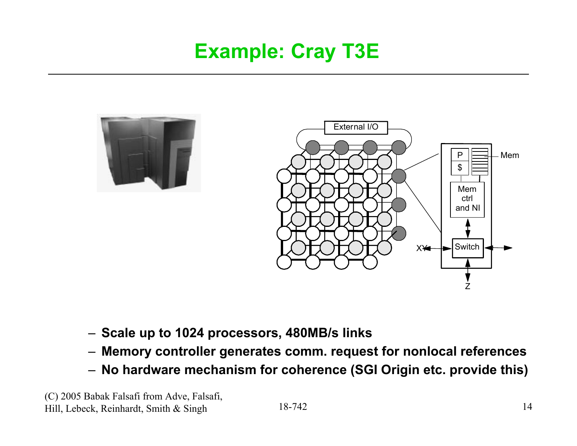## **Example: Cray T3E**





- **Scale up to 1024 processors, 480MB/s links**
- **Memory controller generates comm. request for nonlocal references**
- **No hardware mechanism for coherence (SGI Origin etc. provide this)**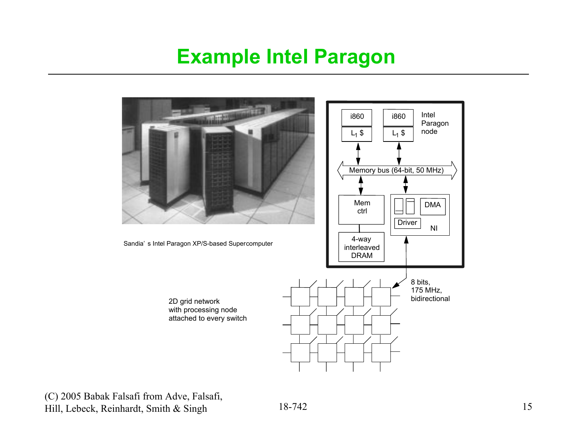### **Example Intel Paragon**

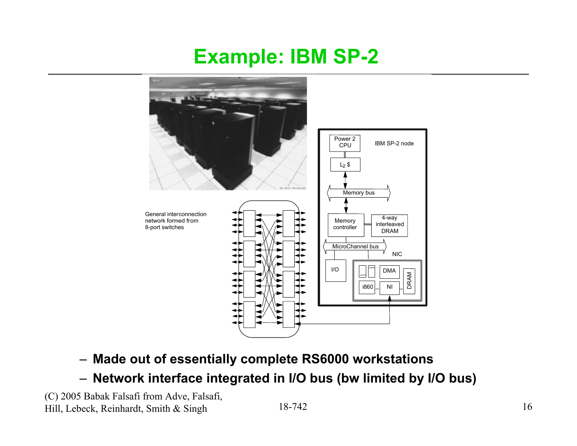### **Example: IBM SP-2**



- **Made out of essentially complete RS6000 workstations**
- **Network interface integrated in I/O bus (bw limited by I/O bus)**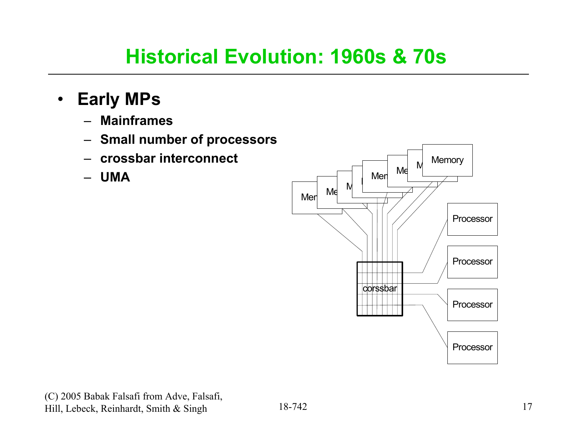## **Historical Evolution: 1960s & 70s**

- • **Early MPs**
	- **Mainframes**
	- **Small number of processors**
	- –**crossbar interconnect**
	- **UMA**

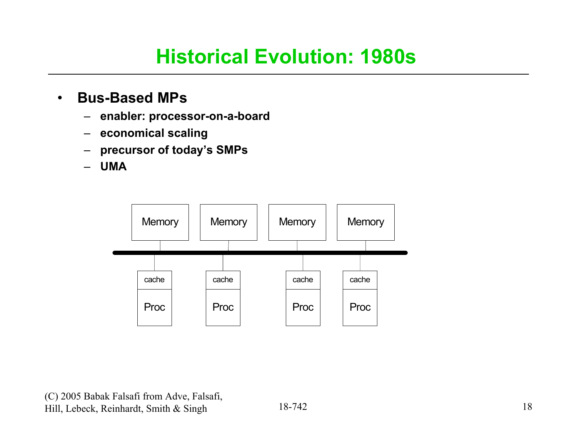## **Historical Evolution: 1980s**

#### $\bullet$ **Bus-Based MPs**

- –**enabler: processor-on-a-board**
- –**economical scaling**
- –**precursor of today's SMPs**
- –**UMA**

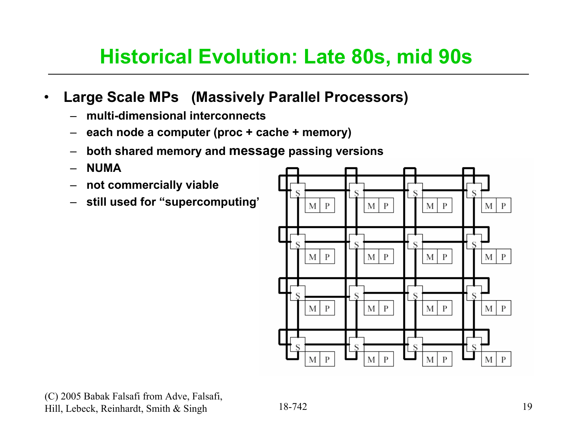## **Historical Evolution: Late 80s, mid 90s**

#### •**Large Scale MPs (Massively Parallel Processors)**

- **multi-dimensional interconnects**
- –**each node a computer (proc + cache + memory)**
- –**both shared memory and message passing versions**
- –**NUMA**
- –**not commercially viable**
- **still used for "supercomputing"**

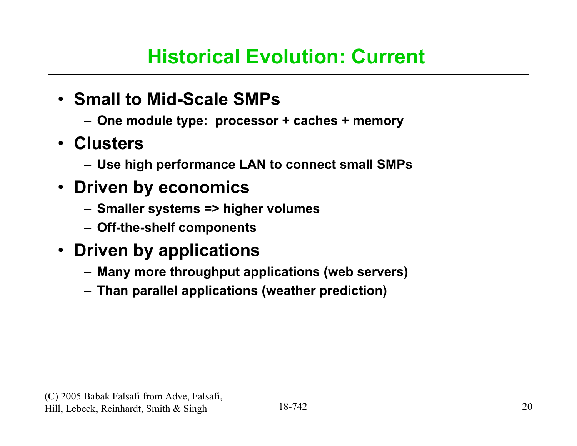### **Historical Evolution: Current**

### • **Small to Mid-Scale SMPs**

- **One module type: processor + caches + memory**
- **Clusters** 
	- **Use high performance LAN to connect small SMPs**

### • **Driven by economics**

- **Smaller systems => higher volumes**
- **Off-the-shelf components**

### • **Driven by applications**

- **Many more throughput applications (web servers)**
- **Than parallel applications (weather prediction)**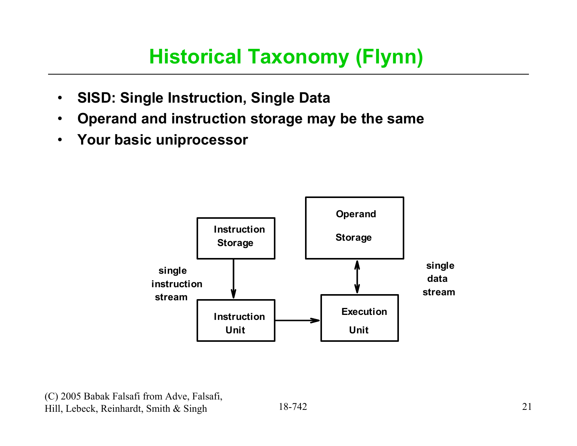## **Historical Taxonomy (Flynn)**

- $\bullet$ **SISD: Single Instruction, Single Data**
- $\bullet$ **Operand and instruction storage may be the same**
- $\bullet$ **Your basic uniprocessor**

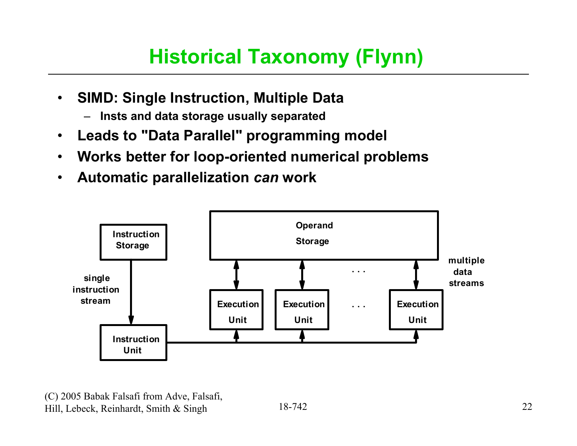## **Historical Taxonomy (Flynn)**

- $\bullet$  **SIMD: Single Instruction, Multiple Data** 
	- –**Insts and data storage usually separated**
- $\bullet$ **Leads to "Data Parallel" programming model**
- $\bullet$ **Works better for loop-oriented numerical problems**
- •**Automatic parallelization** *can* **work**

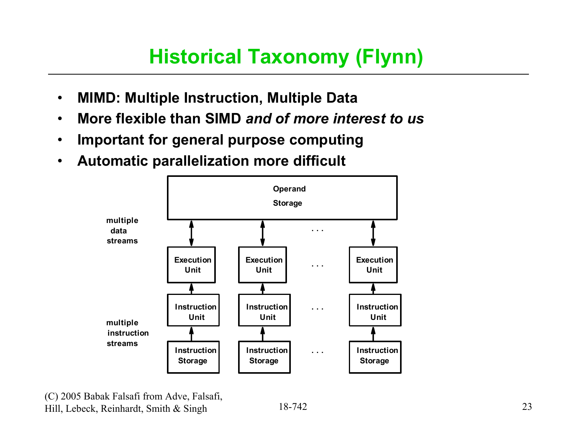## **Historical Taxonomy (Flynn)**

- $\bullet$ **MIMD: Multiple Instruction, Multiple Data**
- •**More flexible than SIMD** *and of more interest to us*
- •**Important for general purpose computing**
- $\bullet$ **Automatic parallelization more difficult**

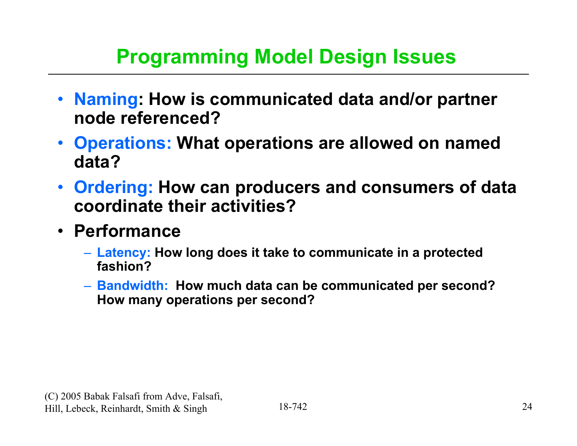## **Programming Model Design Issues**

- **Naming: How is communicated data and/or partner node referenced?**
- **Operations: What operations are allowed on named data?**
- **Ordering: How can producers and consumers of data coordinate their activities?**
- **Performance**
	- **Latency: How long does it take to communicate in a protected fashion?**
	- **Bandwidth: How much data can be communicated per second? How many operations per second?**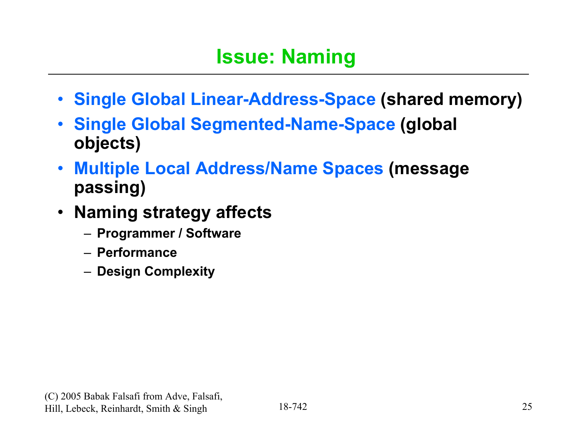- **Single Global Linear-Address-Space (shared memory)**
- • **Single Global Segmented-Name-Space (global objects)**
- **Multiple Local Address/Name Spaces (message passing)**
- **Naming strategy affects**
	- **Programmer / Software**
	- **Performance**
	- **Design Complexity**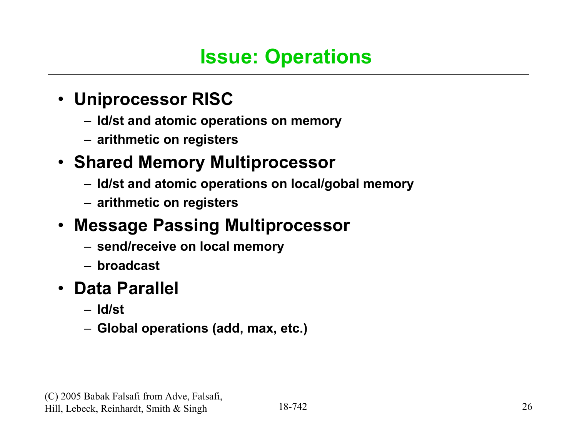### • **Uniprocessor RISC**

- **ld/st and atomic operations on memory**
- **arithmetic on registers**

### • **Shared Memory Multiprocessor**

- **ld/st and atomic operations on local/gobal memory**
- **arithmetic on registers**

### • **Message Passing Multiprocessor**

- **send/receive on local memory**
- **broadcast**

### • **Data Parallel**

- **ld/st**
- **Global operations (add, max, etc.)**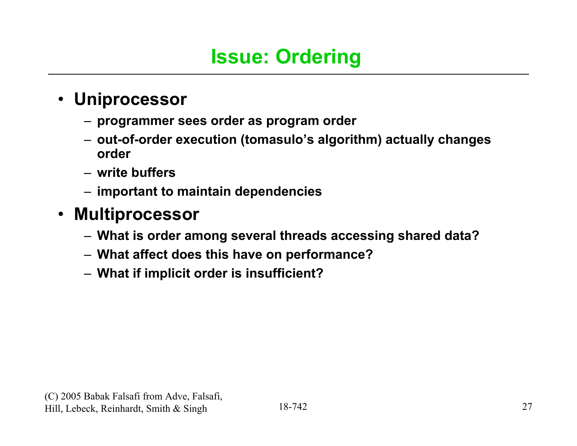### • **Uniprocessor**

- **programmer sees order as program order**
- **out-of-order execution (tomasulo's algorithm) actually changes order**
- **write buffers**
- **important to maintain dependencies**

### • **Multiprocessor**

- **What is order among several threads accessing shared data?**
- **What affect does this have on performance?**
- **What if implicit order is insufficient?**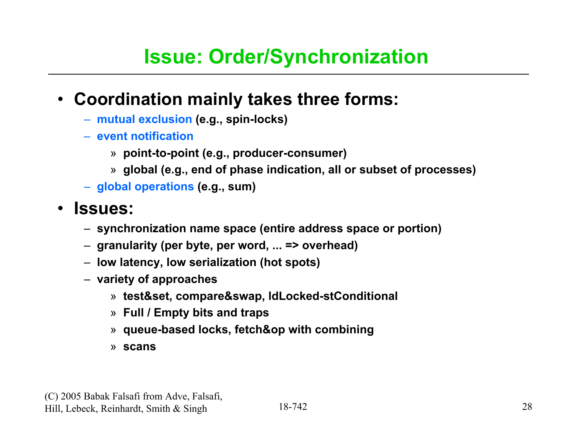## **Issue: Order/Synchronization**

### • **Coordination mainly takes three forms:**

- **mutual exclusion (e.g., spin-locks)**
- **event notification**
	- » **point-to-point (e.g., producer-consumer)**
	- » **global (e.g., end of phase indication, all or subset of processes)**
- **global operations (e.g., sum)**

### • **Issues:**

- **synchronization name space (entire address space or portion)**
- **granularity (per byte, per word, ... => overhead)**
- **low latency, low serialization (hot spots)**
- **variety of approaches**
	- » **test&set, compare&swap, ldLocked-stConditional**
	- » **Full / Empty bits and traps**
	- » **queue-based locks, fetch&op with combining**
	- » **scans**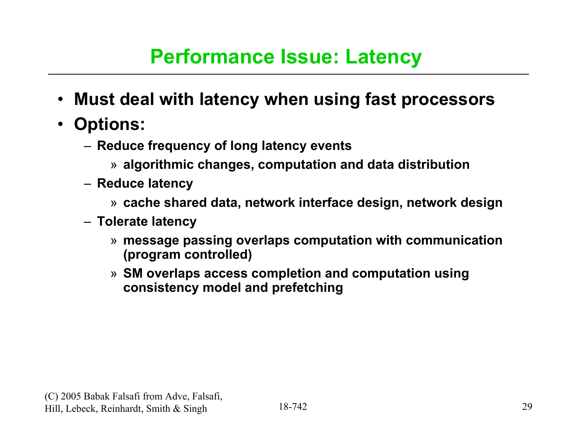### **Performance Issue: Latency**

- $\bullet$ **Must deal with latency when using fast processors**
- **Options:**
	- **Reduce frequency of long latency events**
		- » **algorithmic changes, computation and data distribution**
	- **Reduce latency**
		- » **cache shared data, network interface design, network design**
	- **Tolerate latency**
		- » **message passing overlaps computation with communication (program controlled)**
		- » **SM overlaps access completion and computation using consistency model and prefetching**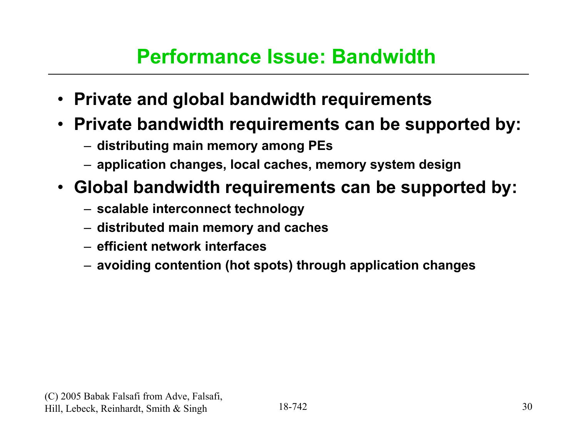### **Performance Issue: Bandwidth**

- **Private and global bandwidth requirements**
- **Private bandwidth requirements can be supported by:**
	- **distributing main memory among PEs**
	- **application changes, local caches, memory system design**
- **Global bandwidth requirements can be supported by:**
	- **scalable interconnect technology**
	- **distributed main memory and caches**
	- **efficient network interfaces**
	- **avoiding contention (hot spots) through application changes**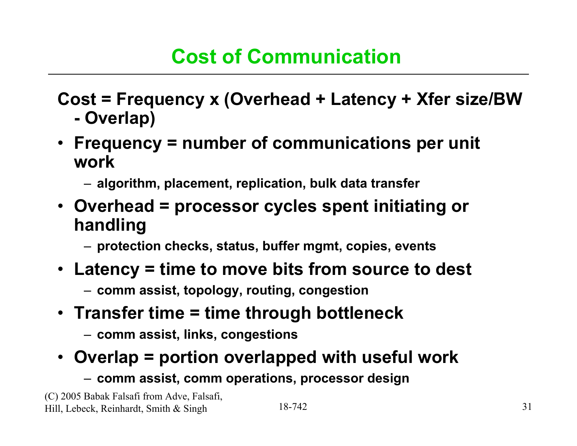#### **Cost = Frequency x (Overhead + Latency + Xfer size/BW - Overlap)**

- **Frequency = number of communications per unit work**
	- **algorithm, placement, replication, bulk data transfer**
- **Overhead = processor cycles spent initiating or handling**
	- **protection checks, status, buffer mgmt, copies, events**
- **Latency = time to move bits from source to dest**
	- **comm assist, topology, routing, congestion**
- **Transfer time = time through bottleneck**
	- **comm assist, links, congestions**

### • **Overlap = portion overlapped with useful work**

– **comm assist, comm operations, processor design**